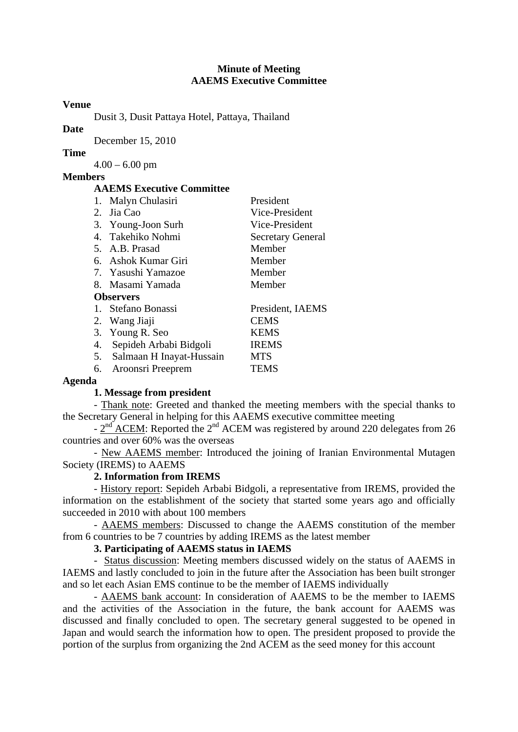#### **Minute of Meeting AAEMS Executive Committee**

#### **Venue**

Dusit 3, Dusit Pattaya Hotel, Pattaya, Thailand

# **Date**

December 15, 2010

# **Time**

 $4.00 - 6.00$  pm

# **Members**

#### **AAEMS Executive Committee**

| 1.               | Malyn Chulasiri             | President                |
|------------------|-----------------------------|--------------------------|
|                  | 2. Jia Cao                  | Vice-President           |
|                  | 3. Young-Joon Surh          | Vice-President           |
|                  | 4. Takehiko Nohmi           | <b>Secretary General</b> |
|                  | 5. A.B. Prasad              | Member                   |
|                  | 6. Ashok Kumar Giri         | Member                   |
|                  | 7. Yasushi Yamazoe          | Member                   |
|                  | 8. Masami Yamada            | Member                   |
| <b>Observers</b> |                             |                          |
|                  | 1. Stefano Bonassi          | President, IAEMS         |
|                  | 2. Wang Jiaji               | <b>CEMS</b>              |
|                  | 3. Young R. Seo             | <b>KEMS</b>              |
|                  | 4. Sepideh Arbabi Bidgoli   | <b>IREMS</b>             |
|                  | 5. Salmaan H Inayat-Hussain | <b>MTS</b>               |
|                  |                             |                          |
| 6.               | Aroonsri Preeprem           | TEMS                     |

# **Agenda**

# **1. Message from president**

- Thank note: Greeted and thanked the meeting members with the special thanks to the Secretary General in helping for this AAEMS executive committee meeting

- 2<sup>nd</sup> ACEM: Reported the 2<sup>nd</sup> ACEM was registered by around 220 delegates from 26 countries and over 60% was the overseas

- New AAEMS member: Introduced the joining of Iranian Environmental Mutagen Society (IREMS) to AAEMS

# **2. Information from IREMS**

- History report: Sepideh Arbabi Bidgoli, a representative from IREMS, provided the information on the establishment of the society that started some years ago and officially succeeded in 2010 with about 100 members

 - AAEMS members: Discussed to change the AAEMS constitution of the member from 6 countries to be 7 countries by adding IREMS as the latest member

# **3. Participating of AAEMS status in IAEMS**

- Status discussion: Meeting members discussed widely on the status of AAEMS in IAEMS and lastly concluded to join in the future after the Association has been built stronger and so let each Asian EMS continue to be the member of IAEMS individually

- AAEMS bank account: In consideration of AAEMS to be the member to IAEMS and the activities of the Association in the future, the bank account for AAEMS was discussed and finally concluded to open. The secretary general suggested to be opened in Japan and would search the information how to open. The president proposed to provide the portion of the surplus from organizing the 2nd ACEM as the seed money for this account